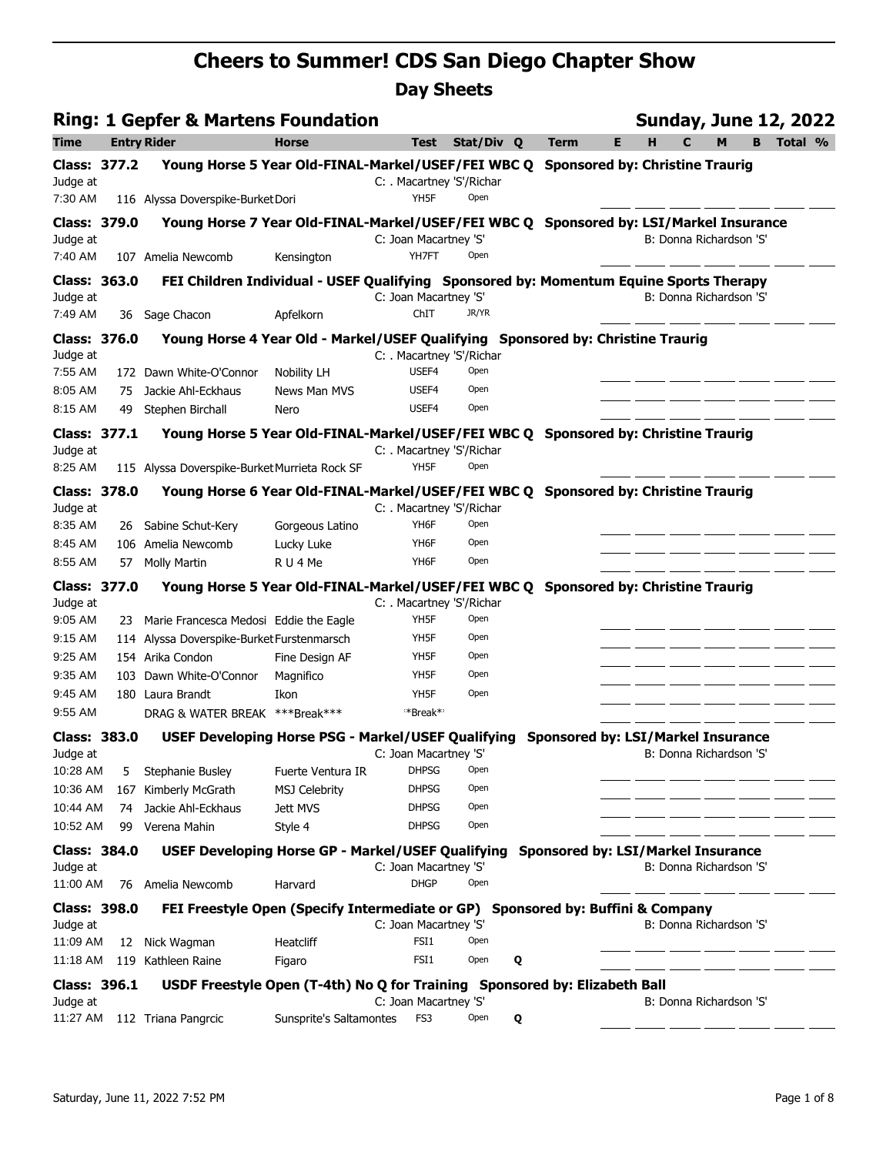|                     |    | <b>Ring: 1 Gepfer &amp; Martens Foundation</b>                                         |                         |                                |            |             |    | <b>Sunday, June 12, 2022</b>           |         |         |
|---------------------|----|----------------------------------------------------------------------------------------|-------------------------|--------------------------------|------------|-------------|----|----------------------------------------|---------|---------|
| <b>Time</b>         |    | <b>Entry Rider</b>                                                                     | <b>Horse</b>            | <b>Test</b>                    | Stat/Div Q | <b>Term</b> | E. | $\mathbf c$<br>н                       | M<br>B. | Total % |
| <b>Class: 377.2</b> |    | Young Horse 5 Year Old-FINAL-Markel/USEF/FEI WBC Q                                     |                         |                                |            |             |    | <b>Sponsored by: Christine Traurig</b> |         |         |
| Judge at            |    |                                                                                        |                         | C: . Macartney 'S'/Richar      |            |             |    |                                        |         |         |
| 7:30 AM             |    | 116 Alyssa Doverspike-Burket Dori                                                      |                         | YH5F                           | Open       |             |    |                                        |         |         |
| Class: 379.0        |    | Young Horse 7 Year Old-FINAL-Markel/USEF/FEI WBC Q Sponsored by: LSI/Markel Insurance  |                         |                                |            |             |    |                                        |         |         |
| Judge at<br>7:40 AM |    | 107 Amelia Newcomb                                                                     | Kensington              | C: Joan Macartney 'S'<br>YH7FT | Open       |             |    | B: Donna Richardson 'S'                |         |         |
| <b>Class: 363.0</b> |    | FEI Children Individual - USEF Qualifying Sponsored by: Momentum Equine Sports Therapy |                         |                                |            |             |    |                                        |         |         |
| Judge at            |    |                                                                                        |                         | C: Joan Macartney 'S'          |            |             |    | B: Donna Richardson 'S'                |         |         |
| 7:49 AM             |    | 36 Sage Chacon                                                                         | Apfelkorn               | ChIT                           | JR/YR      |             |    |                                        |         |         |
| <b>Class: 376.0</b> |    | Young Horse 4 Year Old - Markel/USEF Qualifying Sponsored by: Christine Traurig        |                         |                                |            |             |    |                                        |         |         |
| Judge at            |    |                                                                                        |                         | C: . Macartney 'S'/Richar      |            |             |    |                                        |         |         |
| 7:55 AM             |    | 172 Dawn White-O'Connor                                                                | <b>Nobility LH</b>      | USEF4                          | Open       |             |    |                                        |         |         |
| 8:05 AM             | 75 | Jackie Ahl-Eckhaus                                                                     | <b>News Man MVS</b>     | USEF4                          | Open       |             |    |                                        |         |         |
| 8:15 AM             | 49 | Stephen Birchall                                                                       | Nero                    | USEF4                          | Open       |             |    |                                        |         |         |
| <b>Class: 377.1</b> |    | Young Horse 5 Year Old-FINAL-Markel/USEF/FEI WBC Q Sponsored by: Christine Traurig     |                         |                                |            |             |    |                                        |         |         |
| Judge at            |    |                                                                                        |                         | C: Macartney 'S'/Richar        |            |             |    |                                        |         |         |
| 8:25 AM             |    | 115 Alyssa Doverspike-Burket Murrieta Rock SF                                          |                         | YH5F                           | Open       |             |    |                                        |         |         |
| <b>Class: 378.0</b> |    | Young Horse 6 Year Old-FINAL-Markel/USEF/FEI WBC Q Sponsored by: Christine Traurig     |                         |                                |            |             |    |                                        |         |         |
| Judge at            |    |                                                                                        |                         | C: Macartney 'S'/Richar        |            |             |    |                                        |         |         |
| 8:35 AM             |    | 26 Sabine Schut-Kery                                                                   | Gorgeous Latino         | YH6F                           | Open       |             |    |                                        |         |         |
| 8:45 AM             |    | 106 Amelia Newcomb                                                                     | Lucky Luke              | YH6F                           | Open       |             |    |                                        |         |         |
| 8:55 AM             |    | 57 Molly Martin                                                                        | RU4Me                   | YH6F                           | Open       |             |    |                                        |         |         |
| <b>Class: 377.0</b> |    | Young Horse 5 Year Old-FINAL-Markel/USEF/FEI WBC Q Sponsored by: Christine Traurig     |                         |                                |            |             |    |                                        |         |         |
| Judge at            |    |                                                                                        |                         | C: . Macartney 'S'/Richar      |            |             |    |                                        |         |         |
| 9:05 AM             |    | 23 Marie Francesca Medosi Eddie the Eagle                                              |                         | YH5F                           | Open       |             |    |                                        |         |         |
| 9:15 AM             |    | 114 Alyssa Doverspike-Burket Furstenmarsch                                             |                         | YH5F                           | Open       |             |    |                                        |         |         |
| 9:25 AM             |    | 154 Arika Condon                                                                       | Fine Design AF          | YH <sub>5</sub> F              | Open       |             |    |                                        |         |         |
| 9:35 AM             |    | 103 Dawn White-O'Connor                                                                | Magnifico               | YH5F                           | Open       |             |    |                                        |         |         |
| 9:45 AM             |    | 180 Laura Brandt                                                                       | Ikon                    | YH5F                           | Open       |             |    |                                        |         |         |
| 9:55 AM             |    | DRAG & WATER BREAK ***Break***                                                         |                         | *Break*                        |            |             |    |                                        |         |         |
| <b>Class: 383.0</b> |    | USEF Developing Horse PSG - Markel/USEF Qualifying Sponsored by: LSI/Markel Insurance  |                         |                                |            |             |    |                                        |         |         |
| Judge at            |    |                                                                                        |                         | C: Joan Macartney 'S'          |            |             |    | B: Donna Richardson 'S'                |         |         |
| 10:28 AM            | 5  | Stephanie Busley                                                                       | Fuerte Ventura IR       | <b>DHPSG</b>                   | Open       |             |    |                                        |         |         |
| 10:36 AM            |    | 167 Kimberly McGrath                                                                   | <b>MSJ Celebrity</b>    | <b>DHPSG</b>                   | Open       |             |    |                                        |         |         |
| 10:44 AM            | 74 | Jackie Ahl-Eckhaus                                                                     | Jett MVS                | <b>DHPSG</b>                   | Open       |             |    |                                        |         |         |
| 10:52 AM            | 99 | Verena Mahin                                                                           | Style 4                 | <b>DHPSG</b>                   | Open       |             |    |                                        |         |         |
| <b>Class: 384.0</b> |    | USEF Developing Horse GP - Markel/USEF Qualifying Sponsored by: LSI/Markel Insurance   |                         |                                |            |             |    |                                        |         |         |
| Judge at            |    |                                                                                        |                         | C: Joan Macartney 'S'          |            |             |    | B: Donna Richardson 'S'                |         |         |
| 11:00 AM            |    | 76 Amelia Newcomb                                                                      | Harvard                 | <b>DHGP</b>                    | Open       |             |    |                                        |         |         |
| <b>Class: 398.0</b> |    | FEI Freestyle Open (Specify Intermediate or GP) Sponsored by: Buffini & Company        |                         |                                |            |             |    |                                        |         |         |
| Judge at            |    |                                                                                        |                         | C: Joan Macartney 'S'          |            |             |    | B: Donna Richardson 'S'                |         |         |
| 11:09 AM            |    | 12 Nick Wagman                                                                         | Heatcliff               | FSI1                           | Open       |             |    |                                        |         |         |
| 11:18 AM            |    | 119 Kathleen Raine                                                                     | Figaro                  | FSI1                           | Open<br>Q  |             |    |                                        |         |         |
| Class: 396.1        |    | USDF Freestyle Open (T-4th) No Q for Training Sponsored by: Elizabeth Ball             |                         |                                |            |             |    |                                        |         |         |
| Judge at            |    |                                                                                        |                         | C: Joan Macartney 'S'          |            |             |    | B: Donna Richardson 'S'                |         |         |
|                     |    | 11:27 AM 112 Triana Pangrcic                                                           | Sunsprite's Saltamontes | FS3                            | Open<br>Q  |             |    |                                        |         |         |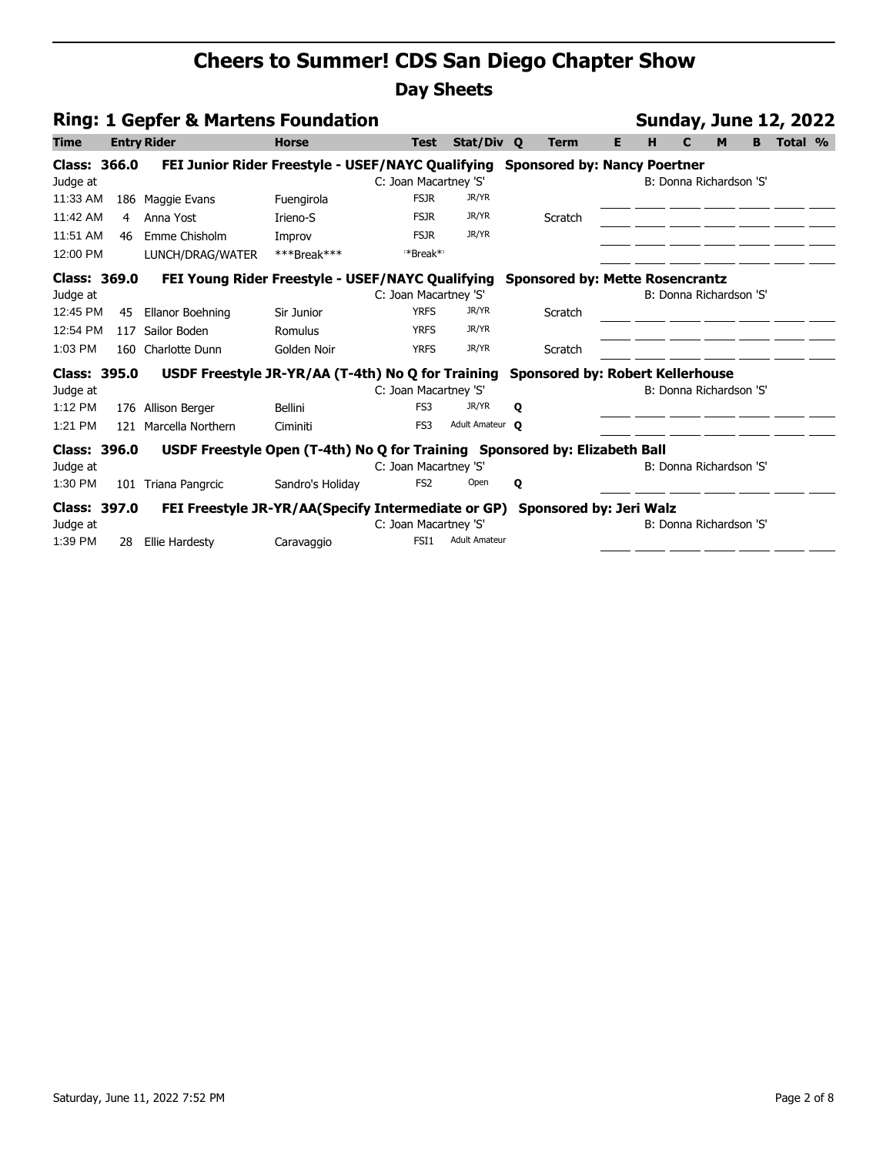| <b>Ring: 1 Gepfer &amp; Martens Foundation</b> |                |                                                                                    |                  |                       |                      |   |             |    |   |                         |   |   | <b>Sunday, June 12, 2022</b> |  |
|------------------------------------------------|----------------|------------------------------------------------------------------------------------|------------------|-----------------------|----------------------|---|-------------|----|---|-------------------------|---|---|------------------------------|--|
| <b>Time</b>                                    |                | <b>Entry Rider</b>                                                                 | <b>Horse</b>     | <b>Test</b>           | Stat/Div Q           |   | <b>Term</b> | E. | н | С                       | M | В | Total %                      |  |
| <b>Class: 366.0</b><br>Judge at                |                | FEI Junior Rider Freestyle - USEF/NAYC Qualifying Sponsored by: Nancy Poertner     |                  | C: Joan Macartney 'S' |                      |   |             |    |   | B: Donna Richardson 'S' |   |   |                              |  |
| 11:33 AM                                       | 186            | Maggie Evans                                                                       | Fuengirola       | <b>FSJR</b>           | JR/YR                |   |             |    |   |                         |   |   |                              |  |
| 11:42 AM                                       | $\overline{4}$ | Anna Yost                                                                          | Irieno-S         | <b>FSJR</b>           | JR/YR                |   | Scratch     |    |   |                         |   |   |                              |  |
| 11:51 AM                                       | 46             | Emme Chisholm                                                                      | Improv           | <b>FSJR</b>           | JR/YR                |   |             |    |   |                         |   |   |                              |  |
| 12:00 PM                                       |                | LUNCH/DRAG/WATER                                                                   | ***Break***      | *Break*               |                      |   |             |    |   |                         |   |   |                              |  |
| Class: 369.0<br>Judge at                       |                | FEI Young Rider Freestyle - USEF/NAYC Qualifying Sponsored by: Mette Rosencrantz   |                  | C: Joan Macartney 'S' |                      |   |             |    |   | B: Donna Richardson 'S' |   |   |                              |  |
| 12:45 PM                                       | 45             | Ellanor Boehning                                                                   | Sir Junior       | <b>YRFS</b>           | JR/YR                |   | Scratch     |    |   |                         |   |   |                              |  |
| 12:54 PM                                       | 117            | Sailor Boden                                                                       | Romulus          | <b>YRFS</b>           | JR/YR                |   |             |    |   |                         |   |   |                              |  |
| $1:03$ PM                                      | 160            | Charlotte Dunn                                                                     | Golden Noir      | <b>YRFS</b>           | JR/YR                |   | Scratch     |    |   |                         |   |   |                              |  |
| <b>Class: 395.0</b>                            |                | USDF Freestyle JR-YR/AA (T-4th) No Q for Training Sponsored by: Robert Kellerhouse |                  |                       |                      |   |             |    |   |                         |   |   |                              |  |
| Judge at                                       |                |                                                                                    |                  | C: Joan Macartney 'S' |                      |   |             |    |   | B: Donna Richardson 'S' |   |   |                              |  |
| 1:12 PM                                        |                | 176 Allison Berger                                                                 | <b>Bellini</b>   | FS3                   | JR/YR                | Q |             |    |   |                         |   |   |                              |  |
| 1:21 PM                                        |                | 121 Marcella Northern                                                              | Ciminiti         | FS3                   | Adult Amateur O      |   |             |    |   |                         |   |   |                              |  |
| Class: 396.0<br>Judge at                       |                | USDF Freestyle Open (T-4th) No Q for Training Sponsored by: Elizabeth Ball         |                  | C: Joan Macartney 'S' |                      |   |             |    |   | B: Donna Richardson 'S' |   |   |                              |  |
| 1:30 PM                                        |                | 101 Triana Pangrcic                                                                | Sandro's Holiday | FS <sub>2</sub>       | Open                 | Q |             |    |   |                         |   |   |                              |  |
| <b>Class: 397.0</b><br>Judge at                |                | FEI Freestyle JR-YR/AA(Specify Intermediate or GP) Sponsored by: Jeri Walz         |                  | C: Joan Macartney 'S' |                      |   |             |    |   | B: Donna Richardson 'S' |   |   |                              |  |
| 1:39 PM                                        | 28             | Ellie Hardesty                                                                     | Caravaggio       | FSI <sub>1</sub>      | <b>Adult Amateur</b> |   |             |    |   |                         |   |   |                              |  |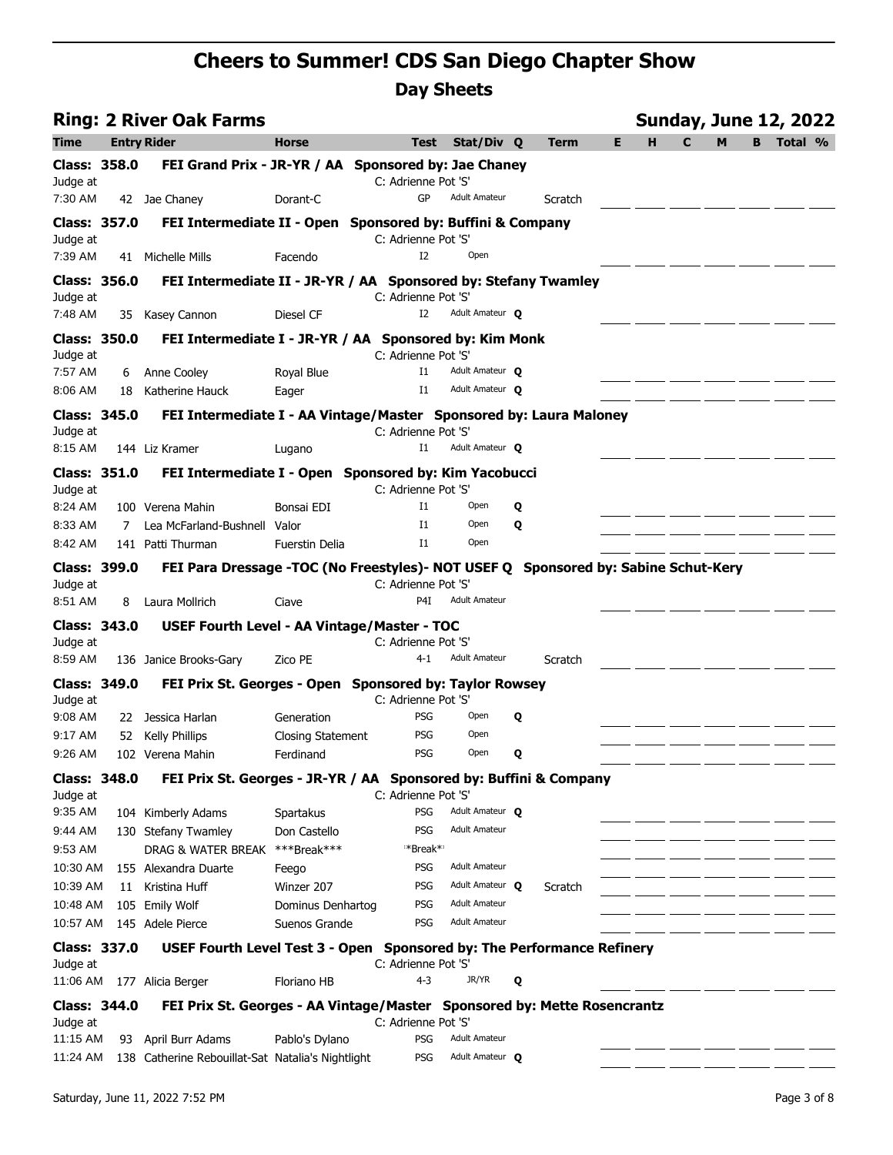|                                 |    | <b>Ring: 2 River Oak Farms</b>                                                     |                           |                                    |                                         |   |         |    |   |   |   |                | <b>Sunday, June 12, 2022</b> |  |
|---------------------------------|----|------------------------------------------------------------------------------------|---------------------------|------------------------------------|-----------------------------------------|---|---------|----|---|---|---|----------------|------------------------------|--|
| Time                            |    | <b>Entry Rider</b>                                                                 | <b>Horse</b>              | <b>Test</b>                        | Stat/Div Q                              |   | Term    | E. | н | C | M | B <sub>1</sub> | Total %                      |  |
| <b>Class: 358.0</b>             |    | FEI Grand Prix - JR-YR / AA Sponsored by: Jae Chaney                               |                           |                                    |                                         |   |         |    |   |   |   |                |                              |  |
| Judge at                        |    |                                                                                    |                           | C: Adrienne Pot 'S'                |                                         |   |         |    |   |   |   |                |                              |  |
| 7:30 AM                         |    | 42 Jae Chaney                                                                      | Dorant-C                  | GP                                 | <b>Adult Amateur</b>                    |   | Scratch |    |   |   |   |                |                              |  |
| <b>Class: 357.0</b>             |    | FEI Intermediate II - Open Sponsored by: Buffini & Company                         |                           |                                    |                                         |   |         |    |   |   |   |                |                              |  |
| Judge at<br>7:39 AM             |    | 41 Michelle Mills                                                                  | Facendo                   | C: Adrienne Pot 'S'<br>I2          | Open                                    |   |         |    |   |   |   |                |                              |  |
| <b>Class: 356.0</b>             |    |                                                                                    |                           |                                    |                                         |   |         |    |   |   |   |                |                              |  |
| Judge at                        |    | FEI Intermediate II - JR-YR / AA Sponsored by: Stefany Twamley                     |                           | C: Adrienne Pot 'S'                |                                         |   |         |    |   |   |   |                |                              |  |
| 7:48 AM                         |    | 35 Kasey Cannon                                                                    | Diesel CF                 | I2                                 | Adult Amateur O                         |   |         |    |   |   |   |                |                              |  |
| <b>Class: 350.0</b>             |    | FEI Intermediate I - JR-YR / AA Sponsored by: Kim Monk                             |                           |                                    |                                         |   |         |    |   |   |   |                |                              |  |
| Judge at                        |    |                                                                                    |                           | C: Adrienne Pot 'S'                |                                         |   |         |    |   |   |   |                |                              |  |
| 7:57 AM                         | 6  | Anne Cooley                                                                        | Royal Blue                | $_{\rm I1}$                        | Adult Amateur O                         |   |         |    |   |   |   |                |                              |  |
| 8:06 AM                         | 18 | Katherine Hauck                                                                    | Eager                     | $_{\rm I1}$                        | Adult Amateur O                         |   |         |    |   |   |   |                |                              |  |
| Class: 345.0                    |    | FEI Intermediate I - AA Vintage/Master Sponsored by: Laura Maloney                 |                           |                                    |                                         |   |         |    |   |   |   |                |                              |  |
| Judge at<br>8:15 AM             |    | 144 Liz Kramer                                                                     |                           | C: Adrienne Pot 'S'<br>$_{\rm I1}$ | Adult Amateur O                         |   |         |    |   |   |   |                |                              |  |
|                                 |    |                                                                                    | Lugano                    |                                    |                                         |   |         |    |   |   |   |                |                              |  |
| <b>Class: 351.0</b><br>Judge at |    | FEI Intermediate I - Open Sponsored by: Kim Yacobucci                              |                           | C: Adrienne Pot 'S'                |                                         |   |         |    |   |   |   |                |                              |  |
| 8:24 AM                         |    | 100 Verena Mahin                                                                   | Bonsai EDI                | $_{\rm I1}$                        | Open                                    | Q |         |    |   |   |   |                |                              |  |
| 8:33 AM                         | 7  | Lea McFarland-Bushnell Valor                                                       |                           | $_{\rm I1}$                        | Open                                    | Q |         |    |   |   |   |                |                              |  |
| 8:42 AM                         |    | 141 Patti Thurman                                                                  | <b>Fuerstin Delia</b>     | $_{\rm I1}$                        | Open                                    |   |         |    |   |   |   |                |                              |  |
| <b>Class: 399.0</b>             |    | FEI Para Dressage -TOC (No Freestyles)- NOT USEF Q Sponsored by: Sabine Schut-Kery |                           |                                    |                                         |   |         |    |   |   |   |                |                              |  |
| Judge at                        |    |                                                                                    |                           | C: Adrienne Pot 'S'                |                                         |   |         |    |   |   |   |                |                              |  |
| 8:51 AM                         | 8  | Laura Mollrich                                                                     | Ciave                     | P <sub>4</sub> I                   | <b>Adult Amateur</b>                    |   |         |    |   |   |   |                |                              |  |
| <b>Class: 343.0</b>             |    | <b>USEF Fourth Level - AA Vintage/Master - TOC</b>                                 |                           |                                    |                                         |   |         |    |   |   |   |                |                              |  |
| Judge at<br>8:59 AM             |    | 136 Janice Brooks-Gary                                                             | Zico PE                   | C: Adrienne Pot 'S'<br>$4 - 1$     | <b>Adult Amateur</b>                    |   | Scratch |    |   |   |   |                |                              |  |
| <b>Class: 349.0</b>             |    | FEI Prix St. Georges - Open Sponsored by: Taylor Rowsey                            |                           |                                    |                                         |   |         |    |   |   |   |                |                              |  |
| Judge at                        |    |                                                                                    |                           | C: Adrienne Pot 'S'                |                                         |   |         |    |   |   |   |                |                              |  |
| 9:08 AM                         |    | 22 Jessica Harlan                                                                  | Generation                | <b>PSG</b>                         | Open                                    | Q |         |    |   |   |   |                |                              |  |
| 9:17 AM                         | 52 | <b>Kelly Phillips</b>                                                              | <b>Closing Statement</b>  | <b>PSG</b>                         | Open                                    |   |         |    |   |   |   |                |                              |  |
| $9:26$ AM                       |    | 102 Verena Mahin                                                                   | Ferdinand                 | <b>PSG</b>                         | Open                                    | Q |         |    |   |   |   |                |                              |  |
| <b>Class: 348.0</b>             |    | FEI Prix St. Georges - JR-YR / AA Sponsored by: Buffini & Company                  |                           |                                    |                                         |   |         |    |   |   |   |                |                              |  |
| Judge at                        |    |                                                                                    |                           | C: Adrienne Pot 'S'                |                                         |   |         |    |   |   |   |                |                              |  |
| 9:35 AM<br>9:44 AM              |    | 104 Kimberly Adams                                                                 | Spartakus<br>Don Castello | <b>PSG</b><br><b>PSG</b>           | Adult Amateur O<br><b>Adult Amateur</b> |   |         |    |   |   |   |                |                              |  |
| 9:53 AM                         |    | 130 Stefany Twamley<br>DRAG & WATER BREAK                                          | ***Break***               | **Break*                           |                                         |   |         |    |   |   |   |                |                              |  |
| 10:30 AM                        |    | 155 Alexandra Duarte                                                               | Feego                     | <b>PSG</b>                         | <b>Adult Amateur</b>                    |   |         |    |   |   |   |                |                              |  |
| 10:39 AM                        |    | 11 Kristina Huff                                                                   | Winzer 207                | PSG                                | Adult Amateur Q                         |   | Scratch |    |   |   |   |                |                              |  |
| 10:48 AM                        |    | 105 Emily Wolf                                                                     | Dominus Denhartog         | PSG                                | <b>Adult Amateur</b>                    |   |         |    |   |   |   |                |                              |  |
| 10:57 AM                        |    | 145 Adele Pierce                                                                   | Suenos Grande             | <b>PSG</b>                         | <b>Adult Amateur</b>                    |   |         |    |   |   |   |                |                              |  |
| <b>Class: 337.0</b>             |    | USEF Fourth Level Test 3 - Open Sponsored by: The Performance Refinery             |                           |                                    |                                         |   |         |    |   |   |   |                |                              |  |
| Judge at                        |    |                                                                                    |                           | C: Adrienne Pot 'S'                |                                         |   |         |    |   |   |   |                |                              |  |
| 11:06 AM                        |    | 177 Alicia Berger                                                                  | Floriano HB               | 4-3                                | JR/YR                                   | Q |         |    |   |   |   |                |                              |  |
| <b>Class: 344.0</b><br>Judge at |    | FEI Prix St. Georges - AA Vintage/Master Sponsored by: Mette Rosencrantz           |                           | C: Adrienne Pot 'S'                |                                         |   |         |    |   |   |   |                |                              |  |
| 11:15 AM                        |    | 93 April Burr Adams                                                                | Pablo's Dylano            | <b>PSG</b>                         | <b>Adult Amateur</b>                    |   |         |    |   |   |   |                |                              |  |
| 11:24 AM                        |    | 138 Catherine Rebouillat-Sat Natalia's Nightlight                                  |                           | <b>PSG</b>                         | Adult Amateur O                         |   |         |    |   |   |   |                |                              |  |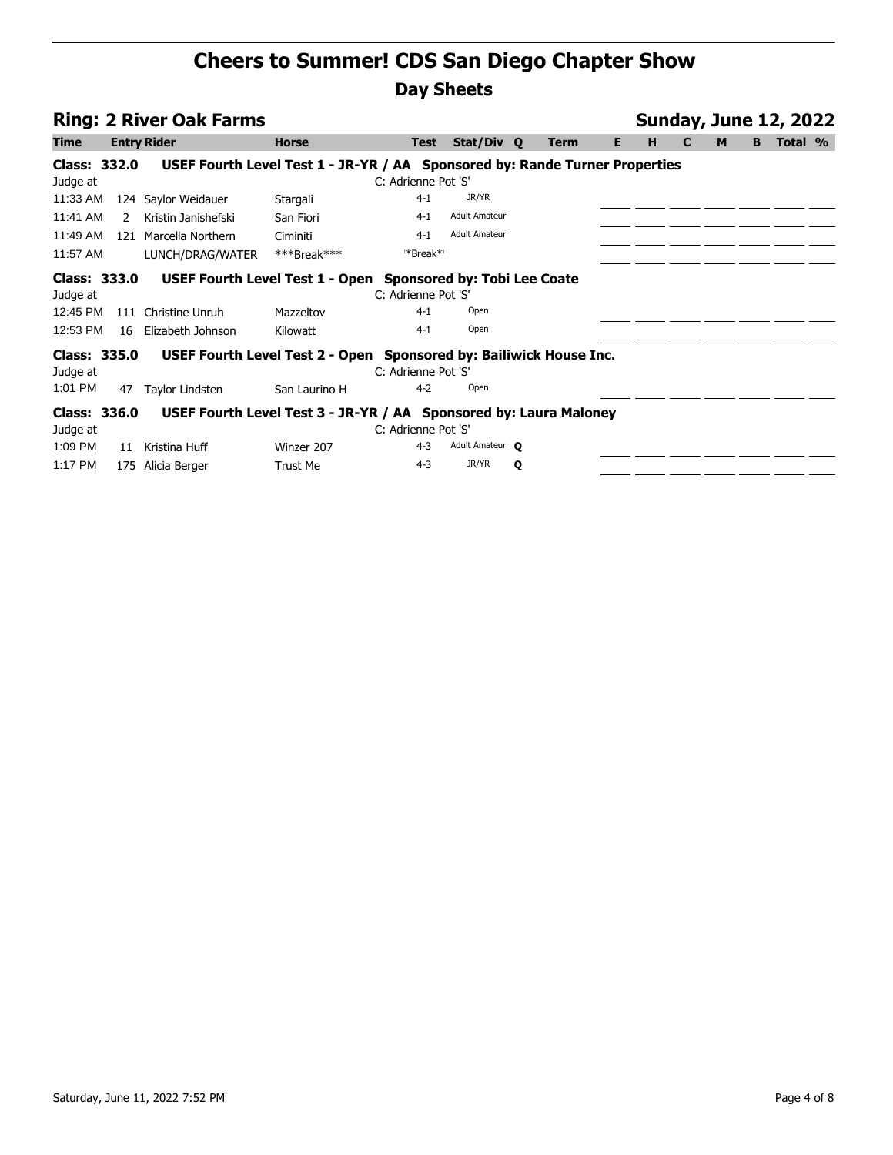| <b>Ring: 2 River Oak Farms</b>                   |               |                                                                                                          |                       |                                           |                      |   |                   |   |   | <b>Sunday, June 12, 2022</b> |   |         |  |  |  |  |
|--------------------------------------------------|---------------|----------------------------------------------------------------------------------------------------------|-----------------------|-------------------------------------------|----------------------|---|-------------------|---|---|------------------------------|---|---------|--|--|--|--|
| <b>Time</b>                                      |               | <b>Entry Rider</b>                                                                                       | <b>Horse</b>          | <b>Test</b>                               | Stat/Div Q           |   | E.<br><b>Term</b> | н | C | M                            | B | Total % |  |  |  |  |
| Class: 332.0                                     |               | USEF Fourth Level Test 1 - JR-YR / AA Sponsored by: Rande Turner Properties                              |                       |                                           |                      |   |                   |   |   |                              |   |         |  |  |  |  |
| Judge at                                         |               |                                                                                                          |                       | C: Adrienne Pot 'S'                       |                      |   |                   |   |   |                              |   |         |  |  |  |  |
| 11:33 AM                                         |               | 124 Saylor Weidauer                                                                                      | Stargali              | $4 - 1$                                   | JR/YR                |   |                   |   |   |                              |   |         |  |  |  |  |
| 11:41 AM                                         | $\mathcal{L}$ | Kristin Janishefski                                                                                      | San Fiori             | $4-1$                                     | <b>Adult Amateur</b> |   |                   |   |   |                              |   |         |  |  |  |  |
| 11:49 AM                                         | 121           | Marcella Northern                                                                                        | Ciminiti              | $4 - 1$                                   | <b>Adult Amateur</b> |   |                   |   |   |                              |   |         |  |  |  |  |
| 11:57 AM                                         |               | LUNCH/DRAG/WATER                                                                                         | ***Break***           | **Break*                                  |                      |   |                   |   |   |                              |   |         |  |  |  |  |
| Class: 333.0<br>Judge at<br>12:45 PM<br>12:53 PM | 16            | USEF Fourth Level Test 1 - Open Sponsored by: Tobi Lee Coate<br>111 Christine Unruh<br>Elizabeth Johnson | Mazzeltov<br>Kilowatt | C: Adrienne Pot 'S'<br>$4 - 1$<br>$4 - 1$ | Open<br>Open         |   |                   |   |   |                              |   |         |  |  |  |  |
| Class: 335.0                                     |               | USEF Fourth Level Test 2 - Open Sponsored by: Bailiwick House Inc.                                       |                       |                                           |                      |   |                   |   |   |                              |   |         |  |  |  |  |
| Judge at                                         |               |                                                                                                          |                       | C: Adrienne Pot 'S'                       |                      |   |                   |   |   |                              |   |         |  |  |  |  |
| 1:01 PM                                          | 47            | Taylor Lindsten                                                                                          | San Laurino H         | $4 - 2$                                   | Open                 |   |                   |   |   |                              |   |         |  |  |  |  |
| Class: 336.0                                     |               | USEF Fourth Level Test 3 - JR-YR / AA Sponsored by: Laura Maloney                                        |                       |                                           |                      |   |                   |   |   |                              |   |         |  |  |  |  |
| Judge at                                         |               |                                                                                                          |                       | C: Adrienne Pot 'S'                       |                      |   |                   |   |   |                              |   |         |  |  |  |  |
| 1:09 PM                                          | 11            | Kristina Huff                                                                                            | Winzer 207            | $4 - 3$                                   | Adult Amateur O      |   |                   |   |   |                              |   |         |  |  |  |  |
| 1:17 PM                                          | 175           | Alicia Berger                                                                                            | Trust Me              | $4 - 3$                                   | JR/YR                | Q |                   |   |   |                              |   |         |  |  |  |  |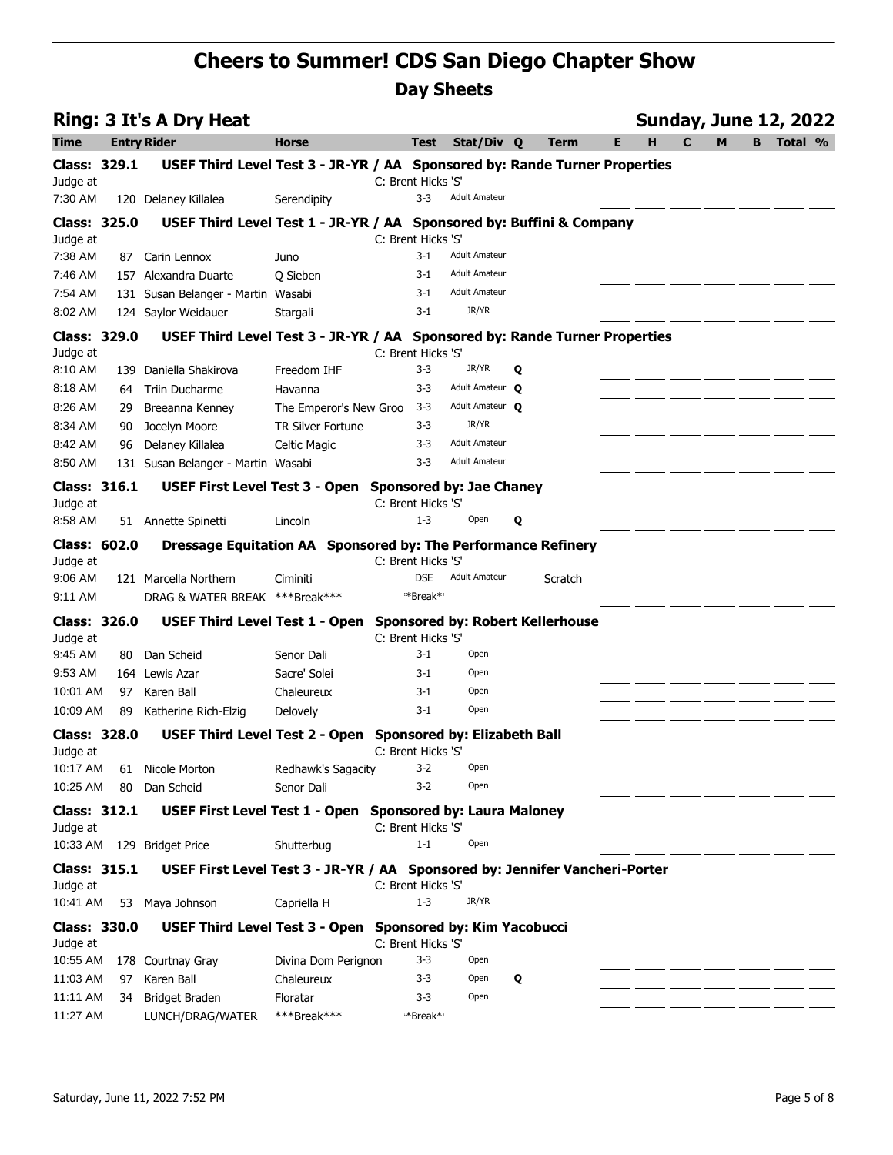|                                 |     | <b>Ring: 3 It's A Dry Heat</b>                                              |                          |                             |                                         |   |         |   | <b>Sunday, June 12, 2022</b> |              |   |   |         |  |
|---------------------------------|-----|-----------------------------------------------------------------------------|--------------------------|-----------------------------|-----------------------------------------|---|---------|---|------------------------------|--------------|---|---|---------|--|
| Time                            |     | <b>Entry Rider</b>                                                          | <b>Horse</b>             | <b>Test</b>                 | Stat/Div Q                              |   | Term    | Е | н                            | $\mathbf{C}$ | M | B | Total % |  |
| <b>Class: 329.1</b><br>Judge at |     | USEF Third Level Test 3 - JR-YR / AA Sponsored by: Rande Turner Properties  |                          | C: Brent Hicks 'S'          |                                         |   |         |   |                              |              |   |   |         |  |
| 7:30 AM                         |     | 120 Delaney Killalea                                                        | Serendipity              | $3 - 3$                     | <b>Adult Amateur</b>                    |   |         |   |                              |              |   |   |         |  |
| <b>Class: 325.0</b>             |     | USEF Third Level Test 1 - JR-YR / AA Sponsored by: Buffini & Company        |                          |                             |                                         |   |         |   |                              |              |   |   |         |  |
| Judge at<br>7:38 AM             | 87  | Carin Lennox                                                                | Juno                     | C: Brent Hicks 'S'<br>$3-1$ | <b>Adult Amateur</b>                    |   |         |   |                              |              |   |   |         |  |
| 7:46 AM                         |     | 157 Alexandra Duarte                                                        | Q Sieben                 | $3-1$                       | <b>Adult Amateur</b>                    |   |         |   |                              |              |   |   |         |  |
| 7:54 AM                         |     | 131 Susan Belanger - Martin Wasabi                                          |                          | $3-1$                       | <b>Adult Amateur</b>                    |   |         |   |                              |              |   |   |         |  |
| 8:02 AM                         |     | 124 Saylor Weidauer                                                         | Stargali                 | $3-1$                       | JR/YR                                   |   |         |   |                              |              |   |   |         |  |
| Class: 329.0<br>Judge at        |     | USEF Third Level Test 3 - JR-YR / AA Sponsored by: Rande Turner Properties  |                          | C: Brent Hicks 'S'          |                                         |   |         |   |                              |              |   |   |         |  |
| 8:10 AM                         |     | 139 Daniella Shakirova                                                      | Freedom IHF              | $3 - 3$                     | JR/YR                                   | Q |         |   |                              |              |   |   |         |  |
| 8:18 AM                         | 64  | <b>Triin Ducharme</b>                                                       | Havanna                  | 3-3                         | Adult Amateur O                         |   |         |   |                              |              |   |   |         |  |
| 8:26 AM                         | 29  | Breeanna Kenney                                                             | The Emperor's New Groo   | $3 - 3$                     | Adult Amateur O                         |   |         |   |                              |              |   |   |         |  |
| 8:34 AM                         | 90  | Jocelyn Moore                                                               | <b>TR Silver Fortune</b> | 3-3                         | JR/YR                                   |   |         |   |                              |              |   |   |         |  |
| 8:42 AM                         | 96  | Delaney Killalea                                                            | <b>Celtic Magic</b>      | $3 - 3$                     | <b>Adult Amateur</b>                    |   |         |   |                              |              |   |   |         |  |
| 8:50 AM                         |     | 131 Susan Belanger - Martin Wasabi                                          |                          | $3-3$                       | <b>Adult Amateur</b>                    |   |         |   |                              |              |   |   |         |  |
| Class: 316.1<br>Judge at        |     | USEF First Level Test 3 - Open Sponsored by: Jae Chaney                     |                          | C: Brent Hicks 'S'          |                                         |   |         |   |                              |              |   |   |         |  |
| 8:58 AM                         |     | 51 Annette Spinetti                                                         | Lincoln                  | $1 - 3$                     | Open                                    | Q |         |   |                              |              |   |   |         |  |
| Class: 602.0                    |     | Dressage Equitation AA Sponsored by: The Performance Refinery               |                          |                             |                                         |   |         |   |                              |              |   |   |         |  |
| Judge at                        |     |                                                                             |                          | C: Brent Hicks 'S'          |                                         |   |         |   |                              |              |   |   |         |  |
| 9:06 AM                         |     | 121 Marcella Northern                                                       | Ciminiti                 | <b>DSE</b>                  | <b>Adult Amateur</b>                    |   | Scratch |   |                              |              |   |   |         |  |
| 9:11 AM                         |     | DRAG & WATER BREAK ***Break***                                              |                          | **Break*                    |                                         |   |         |   |                              |              |   |   |         |  |
| <b>Class: 326.0</b><br>Judge at |     | USEF Third Level Test 1 - Open                                              |                          | C: Brent Hicks 'S'          | <b>Sponsored by: Robert Kellerhouse</b> |   |         |   |                              |              |   |   |         |  |
| 9:45 AM                         | 80. | Dan Scheid                                                                  | Senor Dali               | $3-1$                       | Open                                    |   |         |   |                              |              |   |   |         |  |
| 9:53 AM                         |     | 164 Lewis Azar                                                              | Sacre' Solei             | $3-1$                       | Open                                    |   |         |   |                              |              |   |   |         |  |
| 10:01 AM                        | 97  | Karen Ball                                                                  | Chaleureux               | $3-1$                       | Open                                    |   |         |   |                              |              |   |   |         |  |
| 10:09 AM                        | 89  | Katherine Rich-Elzig                                                        | Delovely                 | $3-1$                       | Open                                    |   |         |   |                              |              |   |   |         |  |
| <b>Class: 328.0</b>             |     | <b>USEF Third Level Test 2 - Open</b>                                       |                          |                             | <b>Sponsored by: Elizabeth Ball</b>     |   |         |   |                              |              |   |   |         |  |
| Judge at                        |     |                                                                             |                          | C: Brent Hicks 'S'          |                                         |   |         |   |                              |              |   |   |         |  |
| 10:17 AM                        |     | 61 Nicole Morton                                                            | Redhawk's Sagacity       | 3-2                         | Open                                    |   |         |   |                              |              |   |   |         |  |
| 10:25 AM                        | 80  | Dan Scheid                                                                  | Senor Dali               | $3 - 2$                     | Open                                    |   |         |   |                              |              |   |   |         |  |
| <b>Class: 312.1</b><br>Judge at |     | USEF First Level Test 1 - Open Sponsored by: Laura Maloney                  |                          | C: Brent Hicks 'S'          |                                         |   |         |   |                              |              |   |   |         |  |
| 10:33 AM                        |     | 129 Bridget Price                                                           | Shutterbug               | $1 - 1$                     | Open                                    |   |         |   |                              |              |   |   |         |  |
| <b>Class: 315.1</b><br>Judge at |     | USEF First Level Test 3 - JR-YR / AA Sponsored by: Jennifer Vancheri-Porter |                          | C: Brent Hicks 'S'          |                                         |   |         |   |                              |              |   |   |         |  |
| 10:41 AM                        |     | 53 Maya Johnson                                                             | Capriella H              | $1 - 3$                     | JR/YR                                   |   |         |   |                              |              |   |   |         |  |
| <b>Class: 330.0</b><br>Judge at |     | USEF Third Level Test 3 - Open Sponsored by: Kim Yacobucci                  |                          | C: Brent Hicks 'S'          |                                         |   |         |   |                              |              |   |   |         |  |
| 10:55 AM                        |     | 178 Courtnay Gray                                                           | Divina Dom Perignon      | $3 - 3$                     | Open                                    |   |         |   |                              |              |   |   |         |  |
| 11:03 AM                        |     | 97 Karen Ball                                                               | Chaleureux               | 3-3                         | Open                                    | Q |         |   |                              |              |   |   |         |  |
| 11:11 AM                        |     | 34 Bridget Braden                                                           | Floratar                 | $3 - 3$                     | Open                                    |   |         |   |                              |              |   |   |         |  |
| 11:27 AM                        |     | LUNCH/DRAG/WATER                                                            | ***Break***              | *Break*                     |                                         |   |         |   |                              |              |   |   |         |  |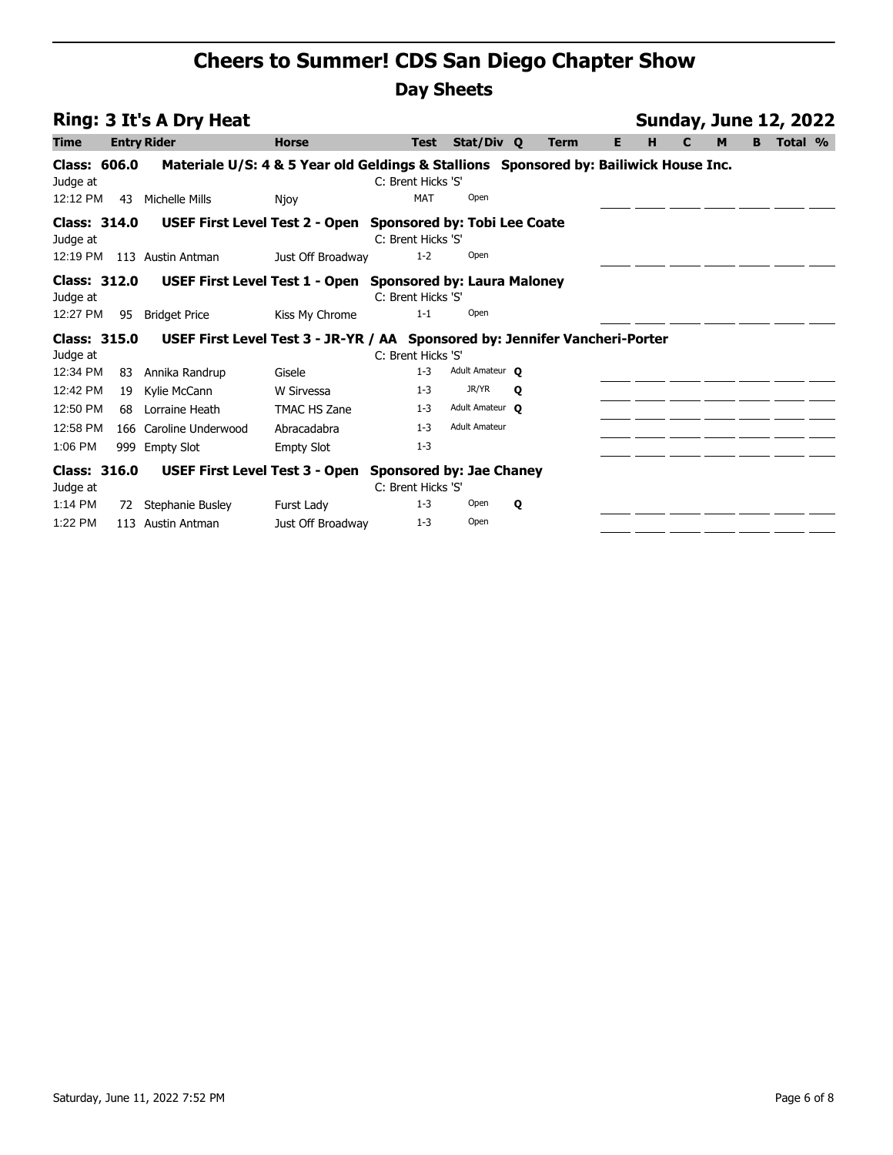|                                 |     | <b>Ring: 3 It's A Dry Heat</b>                                                        |                   | <b>Sunday, June 12, 2022</b> |                      |              |             |   |   |   |   |    |         |  |  |  |
|---------------------------------|-----|---------------------------------------------------------------------------------------|-------------------|------------------------------|----------------------|--------------|-------------|---|---|---|---|----|---------|--|--|--|
| <b>Time</b>                     |     | <b>Entry Rider</b>                                                                    | <b>Horse</b>      | <b>Test</b>                  | Stat/Div Q           |              | <b>Term</b> | Е | н | C | M | B. | Total % |  |  |  |
| <b>Class: 606.0</b><br>Judge at |     | Materiale U/S: 4 & 5 Year old Geldings & Stallions Sponsored by: Bailiwick House Inc. |                   | C: Brent Hicks 'S'           |                      |              |             |   |   |   |   |    |         |  |  |  |
| 12:12 PM                        | 43  | Michelle Mills                                                                        | Njoy              | <b>MAT</b>                   | Open                 |              |             |   |   |   |   |    |         |  |  |  |
| <b>Class: 314.0</b><br>Judge at |     | USEF First Level Test 2 - Open Sponsored by: Tobi Lee Coate                           |                   | C: Brent Hicks 'S'           |                      |              |             |   |   |   |   |    |         |  |  |  |
| 12:19 PM                        |     | 113 Austin Antman                                                                     | Just Off Broadway | $1 - 2$                      | Open                 |              |             |   |   |   |   |    |         |  |  |  |
| <b>Class: 312.0</b><br>Judge at |     | USEF First Level Test 1 - Open Sponsored by: Laura Maloney                            |                   | C: Brent Hicks 'S'           |                      |              |             |   |   |   |   |    |         |  |  |  |
| 12:27 PM                        | 95  | <b>Bridget Price</b>                                                                  | Kiss My Chrome    | $1 - 1$                      | Open                 |              |             |   |   |   |   |    |         |  |  |  |
| <b>Class: 315.0</b><br>Judge at |     | USEF First Level Test 3 - JR-YR / AA Sponsored by: Jennifer Vancheri-Porter           |                   | C: Brent Hicks 'S'           |                      |              |             |   |   |   |   |    |         |  |  |  |
| 12:34 PM                        | 83  | Annika Randrup                                                                        | Gisele            | $1 - 3$                      | Adult Amateur O      |              |             |   |   |   |   |    |         |  |  |  |
| 12:42 PM                        | 19  | Kylie McCann                                                                          | W Sirvessa        | $1 - 3$                      | JR/YR                | $\mathbf{o}$ |             |   |   |   |   |    |         |  |  |  |
| 12:50 PM                        | 68. | Lorraine Heath                                                                        | TMAC HS Zane      | $1 - 3$                      | Adult Amateur O      |              |             |   |   |   |   |    |         |  |  |  |
| 12:58 PM                        |     | 166 Caroline Underwood                                                                | Abracadabra       | $1 - 3$                      | <b>Adult Amateur</b> |              |             |   |   |   |   |    |         |  |  |  |
| 1:06 PM                         |     | 999 Empty Slot                                                                        | <b>Empty Slot</b> | $1 - 3$                      |                      |              |             |   |   |   |   |    |         |  |  |  |
| <b>Class: 316.0</b><br>Judge at |     | USEF First Level Test 3 - Open Sponsored by: Jae Chaney                               |                   | C: Brent Hicks 'S'           |                      |              |             |   |   |   |   |    |         |  |  |  |
| 1:14 PM                         | 72  | Stephanie Busley                                                                      | Furst Lady        | $1 - 3$                      | Open                 | Q            |             |   |   |   |   |    |         |  |  |  |
| 1:22 PM                         | 113 | Austin Antman                                                                         | Just Off Broadway | $1 - 3$                      | Open                 |              |             |   |   |   |   |    |         |  |  |  |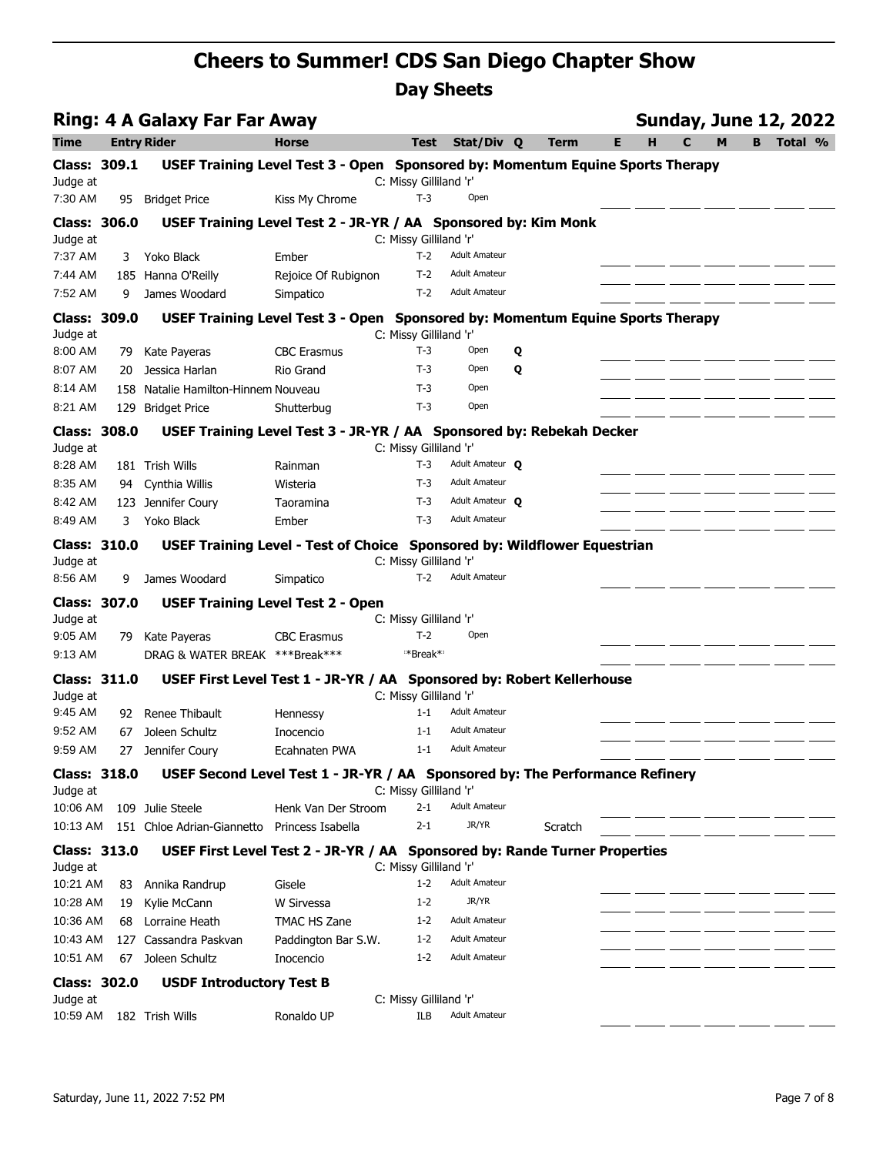| <b>Ring: 4 A Galaxy Far Far Away</b> |     |                                                |                                                                                |                                 |                      |             |        | <b>Sunday, June 12, 2022</b> |   |   |         |  |
|--------------------------------------|-----|------------------------------------------------|--------------------------------------------------------------------------------|---------------------------------|----------------------|-------------|--------|------------------------------|---|---|---------|--|
| Time                                 |     | <b>Entry Rider</b>                             | <b>Horse</b>                                                                   | Test                            | Stat/Div Q           | <b>Term</b> | H<br>Е | $\mathbf C$                  | M | B | Total % |  |
| <b>Class: 309.1</b>                  |     |                                                | USEF Training Level Test 3 - Open Sponsored by: Momentum Equine Sports Therapy |                                 |                      |             |        |                              |   |   |         |  |
| Judge at                             |     |                                                |                                                                                | C: Missy Gilliland 'r'          |                      |             |        |                              |   |   |         |  |
| 7:30 AM                              |     | 95 Bridget Price                               | Kiss My Chrome                                                                 | $T-3$                           | Open                 |             |        |                              |   |   |         |  |
| <b>Class: 306.0</b>                  |     |                                                | USEF Training Level Test 2 - JR-YR / AA Sponsored by: Kim Monk                 |                                 |                      |             |        |                              |   |   |         |  |
| Judge at<br>7:37 AM                  | 3   | Yoko Black                                     | Ember                                                                          | C: Missy Gilliland 'r'<br>$T-2$ | <b>Adult Amateur</b> |             |        |                              |   |   |         |  |
| 7:44 AM                              |     | 185 Hanna O'Reilly                             | Rejoice Of Rubignon                                                            | T-2                             | <b>Adult Amateur</b> |             |        |                              |   |   |         |  |
| 7:52 AM                              | 9   | James Woodard                                  | Simpatico                                                                      | $T-2$                           | <b>Adult Amateur</b> |             |        |                              |   |   |         |  |
| <b>Class: 309.0</b>                  |     |                                                | USEF Training Level Test 3 - Open Sponsored by: Momentum Equine Sports Therapy |                                 |                      |             |        |                              |   |   |         |  |
| Judge at                             |     |                                                |                                                                                | C: Missy Gilliland 'r'          |                      |             |        |                              |   |   |         |  |
| 8:00 AM                              | 79. | Kate Payeras                                   | <b>CBC Erasmus</b>                                                             | $T-3$                           | Open                 | Q           |        |                              |   |   |         |  |
| 8:07 AM                              | 20  | Jessica Harlan                                 | Rio Grand                                                                      | $T-3$                           | Open                 | Q           |        |                              |   |   |         |  |
| 8:14 AM                              |     | 158 Natalie Hamilton-Hinnem Nouveau            |                                                                                | $T-3$                           | Open                 |             |        |                              |   |   |         |  |
| 8:21 AM                              |     | 129 Bridget Price                              | Shutterbug                                                                     | $T-3$                           | Open                 |             |        |                              |   |   |         |  |
| Class: 308.0                         |     |                                                | USEF Training Level Test 3 - JR-YR / AA Sponsored by: Rebekah Decker           |                                 |                      |             |        |                              |   |   |         |  |
| Judge at                             |     |                                                |                                                                                | C: Missy Gilliland 'r'          |                      |             |        |                              |   |   |         |  |
| 8:28 AM                              |     | 181 Trish Wills                                | Rainman                                                                        | $T-3$                           | Adult Amateur O      |             |        |                              |   |   |         |  |
| 8:35 AM                              |     | 94 Cynthia Willis                              | Wisteria                                                                       | $T-3$                           | <b>Adult Amateur</b> |             |        |                              |   |   |         |  |
| 8:42 AM                              |     | 123 Jennifer Coury                             | Taoramina                                                                      | $T-3$                           | Adult Amateur O      |             |        |                              |   |   |         |  |
| 8:49 AM                              | 3   | Yoko Black                                     | Ember                                                                          | $T-3$                           | <b>Adult Amateur</b> |             |        |                              |   |   |         |  |
| <b>Class: 310.0</b>                  |     |                                                | USEF Training Level - Test of Choice Sponsored by: Wildflower Equestrian       |                                 |                      |             |        |                              |   |   |         |  |
| Judge at                             |     |                                                |                                                                                | C: Missy Gilliland 'r'          |                      |             |        |                              |   |   |         |  |
| 8:56 AM                              | 9   | James Woodard                                  | Simpatico                                                                      | $T-2$                           | <b>Adult Amateur</b> |             |        |                              |   |   |         |  |
| <b>Class: 307.0</b>                  |     |                                                | <b>USEF Training Level Test 2 - Open</b>                                       |                                 |                      |             |        |                              |   |   |         |  |
| Judge at<br>9:05 AM                  |     |                                                | <b>CBC Erasmus</b>                                                             | C: Missy Gilliland 'r'<br>$T-2$ | Open                 |             |        |                              |   |   |         |  |
| 9:13 AM                              | 79  | Kate Payeras<br>DRAG & WATER BREAK ***Break*** |                                                                                | **Break*                        |                      |             |        |                              |   |   |         |  |
|                                      |     |                                                |                                                                                |                                 |                      |             |        |                              |   |   |         |  |
| <b>Class: 311.0</b><br>Judge at      |     |                                                | USEF First Level Test 1 - JR-YR / AA Sponsored by: Robert Kellerhouse          | C: Missy Gilliland 'r'          |                      |             |        |                              |   |   |         |  |
| 9:45 AM                              | 92  | Renee Thibault                                 | Hennessy                                                                       | $1 - 1$                         | <b>Adult Amateur</b> |             |        |                              |   |   |         |  |
| 9:52 AM                              | 67  | Joleen Schultz                                 | Inocencio                                                                      | $1 - 1$                         | <b>Adult Amateur</b> |             |        |                              |   |   |         |  |
| 9:59 AM                              | 27  | Jennifer Coury                                 | Ecahnaten PWA                                                                  | $1 - 1$                         | <b>Adult Amateur</b> |             |        |                              |   |   |         |  |
| <b>Class: 318.0</b>                  |     |                                                | USEF Second Level Test 1 - JR-YR / AA Sponsored by: The Performance Refinery   |                                 |                      |             |        |                              |   |   |         |  |
| Judge at                             |     |                                                |                                                                                | C: Missy Gilliland 'r'          |                      |             |        |                              |   |   |         |  |
| 10:06 AM                             |     | 109 Julie Steele                               | Henk Van Der Stroom                                                            | $2 - 1$                         | <b>Adult Amateur</b> |             |        |                              |   |   |         |  |
| 10:13 AM                             |     | 151 Chloe Adrian-Giannetto                     | Princess Isabella                                                              | 2-1                             | JR/YR                | Scratch     |        |                              |   |   |         |  |
| <b>Class: 313.0</b>                  |     |                                                | USEF First Level Test 2 - JR-YR / AA Sponsored by: Rande Turner Properties     |                                 |                      |             |        |                              |   |   |         |  |
| Judge at                             |     |                                                |                                                                                | C: Missy Gilliland 'r'          |                      |             |        |                              |   |   |         |  |
| 10:21 AM                             |     | 83 Annika Randrup                              | Gisele                                                                         | $1 - 2$                         | <b>Adult Amateur</b> |             |        |                              |   |   |         |  |
| 10:28 AM                             | 19  | Kylie McCann                                   | W Sirvessa                                                                     | $1 - 2$                         | JR/YR                |             |        |                              |   |   |         |  |
| 10:36 AM                             | 68  | Lorraine Heath                                 | TMAC HS Zane                                                                   | $1 - 2$                         | <b>Adult Amateur</b> |             |        |                              |   |   |         |  |
| 10:43 AM                             |     | 127 Cassandra Paskvan                          | Paddington Bar S.W.                                                            | $1 - 2$                         | <b>Adult Amateur</b> |             |        |                              |   |   |         |  |
| 10:51 AM                             | 67  | Joleen Schultz                                 | Inocencio                                                                      | $1 - 2$                         | <b>Adult Amateur</b> |             |        |                              |   |   |         |  |
| <b>Class: 302.0</b>                  |     | <b>USDF Introductory Test B</b>                |                                                                                |                                 |                      |             |        |                              |   |   |         |  |
| Judge at                             |     |                                                |                                                                                | C: Missy Gilliland 'r'          |                      |             |        |                              |   |   |         |  |
| 10:59 AM                             |     | 182 Trish Wills                                | Ronaldo UP                                                                     | ILB                             | <b>Adult Amateur</b> |             |        |                              |   |   |         |  |